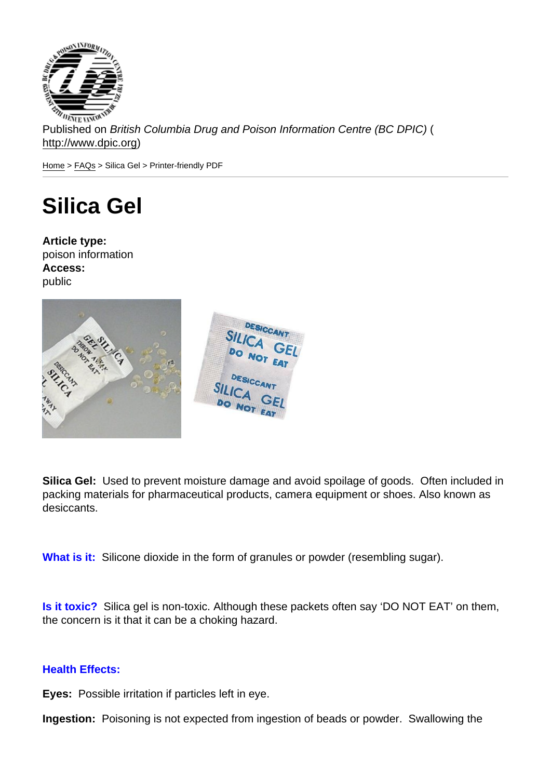Published on British Columbia Drug and Poison Information Centre (BC DPIC) ( http://www.dpic.org)

Home > FAQs > Silica Gel > Printer-friendly PDF

## [Sil](http://www.dpic.org/)i[ca](http://www.dpic.org/faq) Gel

Article type: poison information Access: public

Silica Gel: Used to prevent moisture damage and avoid spoilage of goods. Often included in packing materials for pharmaceutical products, camera equipment or shoes. Also known as desiccants.

What is it: Silicone dioxide in the form of granules or powder (resembling sugar).

Is it toxic? Silica gel is non-toxic. Although these packets often say 'DO NOT EAT' on them, the concern is it that it can be a choking hazard.

## Health Effects:

Eyes: Possible irritation if particles left in eye.

Ingestion: Poisoning is not expected from ingestion of beads or powder. Swallowing the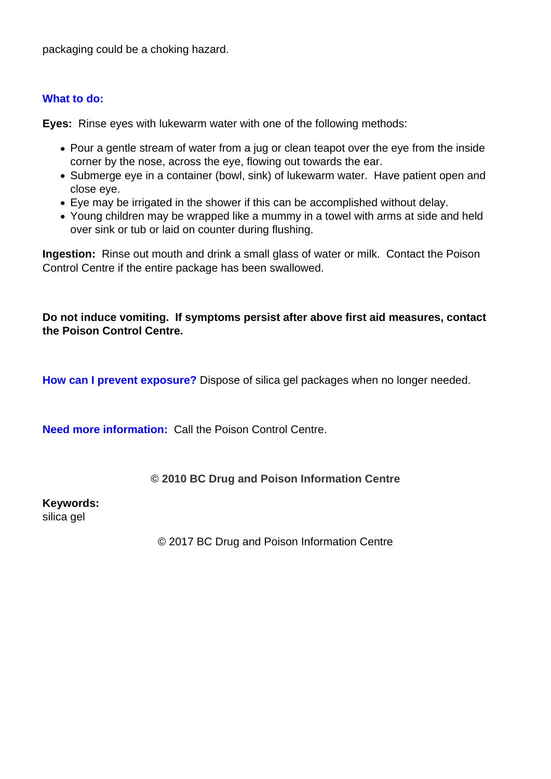packaging could be a choking hazard.

## **What to do:**

**Eyes:** Rinse eyes with lukewarm water with one of the following methods:

- Pour a gentle stream of water from a jug or clean teapot over the eye from the inside corner by the nose, across the eye, flowing out towards the ear.
- Submerge eye in a container (bowl, sink) of lukewarm water. Have patient open and close eye.
- Eye may be irrigated in the shower if this can be accomplished without delay.
- Young children may be wrapped like a mummy in a towel with arms at side and held over sink or tub or laid on counter during flushing.

**Ingestion:** Rinse out mouth and drink a small glass of water or milk. Contact the Poison Control Centre if the entire package has been swallowed.

**Do not induce vomiting. If symptoms persist after above first aid measures, contact the Poison Control Centre.**

**How can I prevent exposure?** Dispose of silica gel packages when no longer needed.

**Need more information:** Call the Poison Control Centre.

## **© 2010 BC Drug and Poison Information Centre**

**Keywords:** 

silica gel

© 2017 BC Drug and Poison Information Centre